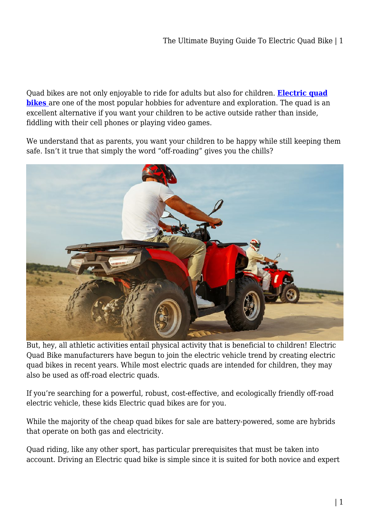Quad bikes are not only enjoyable to ride for adults but also for children. **[Electric quad](https://kidsrideoncar.com.au/quad-bike/) [bikes](https://kidsrideoncar.com.au/quad-bike/)** are one of the most popular hobbies for adventure and exploration. The quad is an excellent alternative if you want your children to be active outside rather than inside, fiddling with their cell phones or playing video games.

We understand that as parents, you want your children to be happy while still keeping them safe. Isn't it true that simply the word "off-roading" gives you the chills?



But, hey, all athletic activities entail physical activity that is beneficial to children! Electric Quad Bike manufacturers have begun to join the electric vehicle trend by creating electric quad bikes in recent years. While most electric quads are intended for children, they may also be used as off-road electric quads.

If you're searching for a powerful, robust, cost-effective, and ecologically friendly off-road electric vehicle, these kids Electric quad bikes are for you.

While the majority of the cheap quad bikes for sale are battery-powered, some are hybrids that operate on both gas and electricity.

Quad riding, like any other sport, has particular prerequisites that must be taken into account. Driving an Electric quad bike is simple since it is suited for both novice and expert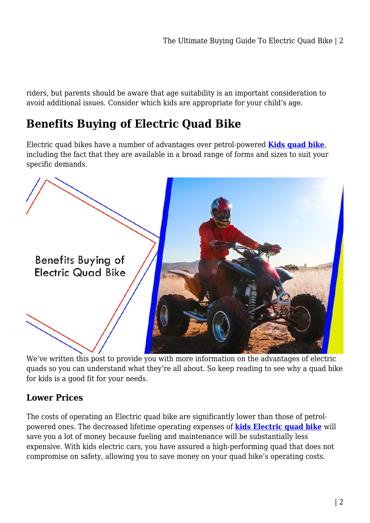riders, but parents should be aware that age suitability is an important consideration to avoid additional issues. Consider which kids are appropriate for your child's age.

# **Benefits Buying of Electric Quad Bike**

Electric quad bikes have a number of advantages over petrol-powered **[Kids quad bike](https://kidsrideoncar.com.au/quad-bike/)**, including the fact that they are available in a broad range of forms and sizes to suit your specific demands.



We've written this post to provide you with more information on the advantages of electric quads so you can understand what they're all about. So keep reading to see why a quad bike for kids is a good fit for your needs.

## **Lower Prices**

The costs of operating an Electric quad bike are significantly lower than those of petrolpowered ones. The decreased lifetime operating expenses of **[kids Electric quad bike](https://kidsrideoncar.com.au/)** will save you a lot of money because fueling and maintenance will be substantially less expensive. With kids electric cars, you have assured a high-performing quad that does not compromise on safety, allowing you to save money on your quad bike's operating costs.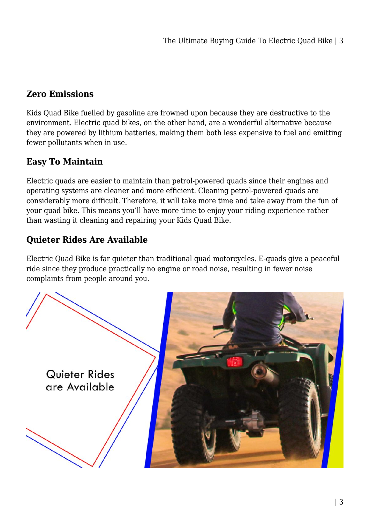### **Zero Emissions**

Kids Quad Bike fuelled by gasoline are frowned upon because they are destructive to the environment. Electric quad bikes, on the other hand, are a wonderful alternative because they are powered by lithium batteries, making them both less expensive to fuel and emitting fewer pollutants when in use.

## **Easy To Maintain**

Electric quads are easier to maintain than petrol-powered quads since their engines and operating systems are cleaner and more efficient. Cleaning petrol-powered quads are considerably more difficult. Therefore, it will take more time and take away from the fun of your quad bike. This means you'll have more time to enjoy your riding experience rather than wasting it cleaning and repairing your Kids Quad Bike.

## **Quieter Rides Are Available**

Electric Quad Bike is far quieter than traditional quad motorcycles. E-quads give a peaceful ride since they produce practically no engine or road noise, resulting in fewer noise complaints from people around you.

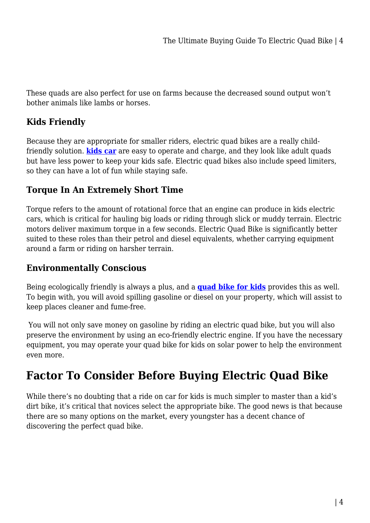These quads are also perfect for use on farms because the decreased sound output won't bother animals like lambs or horses.

### **Kids Friendly**

Because they are appropriate for smaller riders, electric quad bikes are a really childfriendly solution. **[kids car](https://kidsrideoncar.com.au/)** are easy to operate and charge, and they look like adult quads but have less power to keep your kids safe. Electric quad bikes also include speed limiters, so they can have a lot of fun while staying safe.

### **Torque In An Extremely Short Time**

Torque refers to the amount of rotational force that an engine can produce in kids electric cars, which is critical for hauling big loads or riding through slick or muddy terrain. Electric motors deliver maximum torque in a few seconds. Electric Quad Bike is significantly better suited to these roles than their petrol and diesel equivalents, whether carrying equipment around a farm or riding on harsher terrain.

## **Environmentally Conscious**

Being ecologically friendly is always a plus, and a **[quad bike for kids](https://kidsrideoncar.com.au/quad-bike/farm-quad-bike/125cc-farm/)** provides this as well. To begin with, you will avoid spilling gasoline or diesel on your property, which will assist to keep places cleaner and fume-free.

 You will not only save money on gasoline by riding an electric quad bike, but you will also preserve the environment by using an eco-friendly electric engine. If you have the necessary equipment, you may operate your quad bike for kids on solar power to help the environment even more.

# **Factor To Consider Before Buying Electric Quad Bike**

While there's no doubting that a ride on car for kids is much simpler to master than a kid's dirt bike, it's critical that novices select the appropriate bike. The good news is that because there are so many options on the market, every youngster has a decent chance of discovering the perfect quad bike.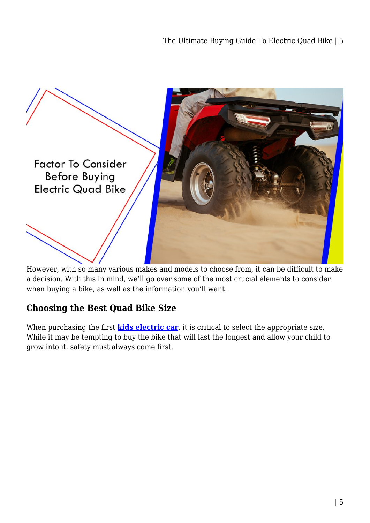

However, with so many various makes and models to choose from, it can be difficult to make a decision. With this in mind, we'll go over some of the most crucial elements to consider when buying a bike, as well as the information you'll want.

## **Choosing the Best Quad Bike Size**

When purchasing the first **[kids electric car](https://kidsrideoncar.com.au/)**, it is critical to select the appropriate size. While it may be tempting to buy the bike that will last the longest and allow your child to grow into it, safety must always come first.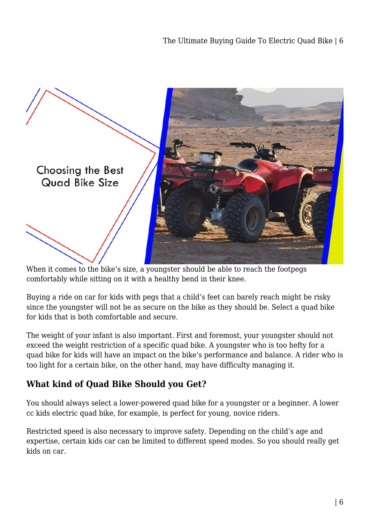

When it comes to the bike's size, a youngster should be able to reach the footpegs comfortably while sitting on it with a healthy bend in their knee.

Buying a ride on car for kids with pegs that a child's feet can barely reach might be risky since the youngster will not be as secure on the bike as they should be. Select a quad bike for kids that is both comfortable and secure.

The weight of your infant is also important. First and foremost, your youngster should not exceed the weight restriction of a specific quad bike. A youngster who is too hefty for a quad bike for kids will have an impact on the bike's performance and balance. A rider who is too light for a certain bike, on the other hand, may have difficulty managing it.

## **What kind of Quad Bike Should you Get?**

You should always select a lower-powered quad bike for a youngster or a beginner. A lower cc kids electric quad bike, for example, is perfect for young, novice riders.

Restricted speed is also necessary to improve safety. Depending on the child's age and expertise, certain kids car can be limited to different speed modes. So you should really get kids on car.